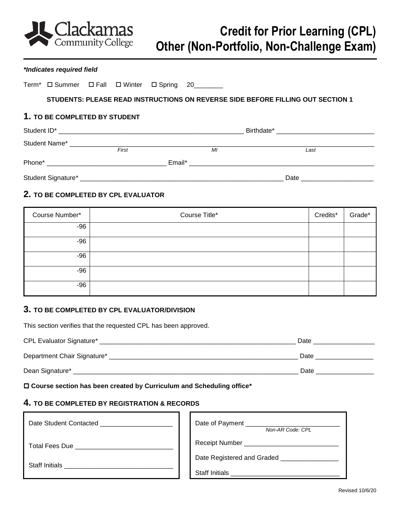

#### *\*Indicates required field*

|  | Term <sup>*</sup> D Summer D Fall D Winter D Spring 20______ |  |                                  |  |    |  |                                                                                 |      |
|--|--------------------------------------------------------------|--|----------------------------------|--|----|--|---------------------------------------------------------------------------------|------|
|  |                                                              |  |                                  |  |    |  | STUDENTS: PLEASE READ INSTRUCTIONS ON REVERSE SIDE BEFORE FILLING OUT SECTION 1 |      |
|  | 1. TO BE COMPLETED BY STUDENT                                |  |                                  |  |    |  |                                                                                 |      |
|  |                                                              |  |                                  |  |    |  |                                                                                 |      |
|  |                                                              |  | First                            |  | MI |  |                                                                                 | Last |
|  |                                                              |  |                                  |  |    |  |                                                                                 |      |
|  |                                                              |  | Date ___________________________ |  |    |  |                                                                                 |      |

# **2. TO BE COMPLETED BY CPL EVALUATOR**

| Course Number* | Course Title* | Credits* | Grade* |
|----------------|---------------|----------|--------|
| $-96$          |               |          |        |
| $-96$          |               |          |        |
| $-96$          |               |          |        |
| $-96$          |               |          |        |
| -96            |               |          |        |

## **3. TO BE COMPLETED BY CPL EVALUATOR/DIVISION**

This section verifies that the requested CPL has been approved.

| <b>CPL Evaluator Signature*</b> | Date |
|---------------------------------|------|
| Department Chair Signature*     | Date |
| Dean Signature*                 | Date |

 **Course section has been created by Curriculum and Scheduling office\*** 

## **4. TO BE COMPLETED BY REGISTRATION & RECORDS**

| Date Student Contacted | Date of Payment ______<br>Non-AR Code: CPL |  |
|------------------------|--------------------------------------------|--|
| <b>Total Fees Due</b>  | <b>Receipt Number</b>                      |  |
| <b>Staff Initials</b>  | Date Registered and Graded                 |  |
|                        | <b>Staff Initials</b>                      |  |